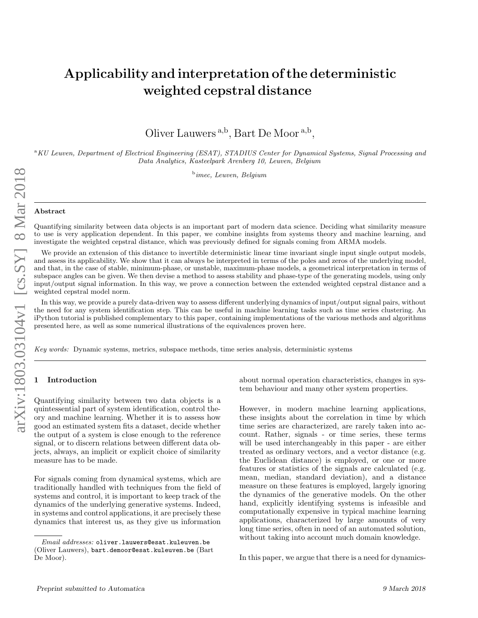# Applicability and interpretation of the deterministic weighted cepstral distance

Oliver Lauwers<sup>a,b</sup>, Bart De Moor<sup>a,b</sup>,

<sup>a</sup>KU Leuven, Department of Electrical Engineering (ESAT), STADIUS Center for Dynamical Systems, Signal Processing and Data Analytics, Kasteelpark Arenberg 10, Leuven, Belgium

<sup>b</sup>imec, Leuven, Belgium

#### Abstract

Quantifying similarity between data objects is an important part of modern data science. Deciding what similarity measure to use is very application dependent. In this paper, we combine insights from systems theory and machine learning, and investigate the weighted cepstral distance, which was previously defined for signals coming from ARMA models.

We provide an extension of this distance to invertible deterministic linear time invariant single input single output models, and assess its applicability. We show that it can always be interpreted in terms of the poles and zeros of the underlying model, and that, in the case of stable, minimum-phase, or unstable, maximum-phase models, a geometrical interpretation in terms of subspace angles can be given. We then devise a method to assess stability and phase-type of the generating models, using only input/output signal information. In this way, we prove a connection between the extended weighted cepstral distance and a weighted cepstral model norm.

In this way, we provide a purely data-driven way to assess different underlying dynamics of input/output signal pairs, without the need for any system identification step. This can be useful in machine learning tasks such as time series clustering. An iPython tutorial is published complementary to this paper, containing implementations of the various methods and algorithms presented here, as well as some numerical illustrations of the equivalences proven here.

Key words: Dynamic systems, metrics, subspace methods, time series analysis, deterministic systems

## **Introduction**

Quantifying similarity between two data objects is a quintessential part of system identification, control theory and machine learning. Whether it is to assess how good an estimated system fits a dataset, decide whether the output of a system is close enough to the reference signal, or to discern relations between different data objects, always, an implicit or explicit choice of similarity measure has to be made.

For signals coming from dynamical systems, which are traditionally handled with techniques from the field of systems and control, it is important to keep track of the dynamics of the underlying generative systems. Indeed, in systems and control applications, it are precisely these dynamics that interest us, as they give us information about normal operation characteristics, changes in system behaviour and many other system properties.

However, in modern machine learning applications, these insights about the correlation in time by which time series are characterized, are rarely taken into account. Rather, signals - or time series, these terms will be used interchangeably in this paper - are either treated as ordinary vectors, and a vector distance (e.g. the Euclidean distance) is employed, or one or more features or statistics of the signals are calculated (e.g. mean, median, standard deviation), and a distance measure on these features is employed, largely ignoring the dynamics of the generative models. On the other hand, explicitly identifying systems is infeasible and computationally expensive in typical machine learning applications, characterized by large amounts of very long time series, often in need of an automated solution, without taking into account much domain knowledge.

In this paper, we argue that there is a need for dynamics-

Email addresses: oliver.lauwers@esat.kuleuven.be (Oliver Lauwers), bart.demoor@esat.kuleuven.be (Bart De Moor).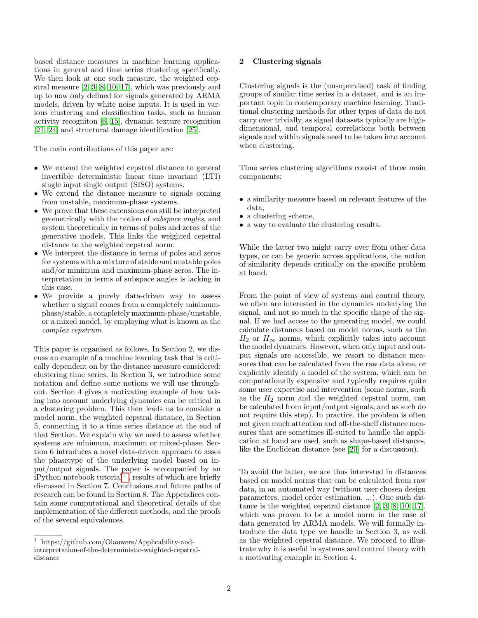based distance measures in machine learning applications in general and time series clustering specifically. We then look at one such measure, the weighted cepstral measure [\[2,](#page-12-0) [3,](#page-12-1) [8,](#page-13-0) [10,](#page-13-1) [17\]](#page-13-2), which was previously and up to now only defined for signals generated by ARMA models, driven by white noise inputs. It is used in various clustering and classification tasks, such as human activity recogniton [\[6,](#page-13-3) [15\]](#page-13-4), dynamic texture recognition [\[21,](#page-13-5) [24\]](#page-13-6) and structural damage identification [\[25\]](#page-13-7).

The main contributions of this paper are:

- We extend the weighted cepstral distance to general invertible deterministic linear time invariant (LTI) single input single output (SISO) systems.
- We extend the distance measure to signals coming from unstable, maximum-phase systems.
- We prove that these extensions can still be interpreted geometrically with the notion of subspace angles, and system theoretically in terms of poles and zeros of the generative models. This links the weighted cepstral distance to the weighted cepstral norm.
- We interpret the distance in terms of poles and zeros for systems with a mixture of stable and unstable poles and/or minimum and maximum-phase zeros. The interpretation in terms of subspace angles is lacking in this case.
- We provide a purely data-driven way to assess whether a signal comes from a completely minimumphase/stable, a completely maximum-phase/unstable, or a mixed model, by employing what is known as the complex cepstrum.

This paper is organised as follows. In Section 2, we discuss an example of a machine learning task that is critically dependent on by the distance measure considered: clustering time series. In Section 3, we introduce some notation and define some notions we will use throughout. Section 4 gives a motivating example of how taking into account underlying dynamics can be critical in a clustering problem. This then leads us to consider a model norm, the weighted cepstral distance, in Section 5, connecting it to a time series distance at the end of that Section. We explain why we need to assess whether systems are minimum, maximum or mixed-phase. Section 6 introduces a novel data-driven approach to asses the phasetype of the underlying model based on input/output signals. The paper is accompanied by an  $iPython\ notebook\ tutorial^1$  $iPython\ notebook\ tutorial^1$ , results of which are briefly discussed in Section 7. Conclusions and future paths of research can be found in Section 8. The Appendices contain some computational and theoretical details of the implementation of the different methods, and the proofs of the several equivalences.

# 2 Clustering signals

Clustering signals is the (unsupervised) task of finding groups of similar time series in a dataset, and is an important topic in contemporary machine learning. Traditional clustering methods for other types of data do not carry over trivially, as signal datasets typically are highdimensional, and temporal correlations both between signals and within signals need to be taken into account when clustering.

Time series clustering algorithms consist of three main components:

- a similarity measure based on relevant features of the data,
- a clustering scheme.
- a way to evaluate the clustering results.

While the latter two might carry over from other data types, or can be generic across applications, the notion of similarity depends critically on the specific problem at hand.

From the point of view of systems and control theory, we often are interested in the dynamics underlying the signal, and not so much in the specific shape of the signal. If we had access to the generating model, we could calculate distances based on model norms, such as the  $H_2$  or  $H_{\infty}$  norms, which explicitly takes into account the model dynamics. However, when only input and output signals are accessible, we resort to distance measures that can be calculated from the raw data alone, or explicitly identify a model of the system, which can be computationally expensive and typically requires quite some user expertise and intervention (some norms, such as the  $H_2$  norm and the weighted cepstral norm, can be calculated from input/output signals, and as such do not require this step). In practice, the problem is often not given much attention and off-the-shelf distance measures that are sometimes ill-suited to handle the application at hand are used, such as shape-based distances, like the Euclidean distance (see [\[20\]](#page-13-8) for a discussion).

To avoid the latter, we are thus interested in distances based on model norms that can be calculated from raw data, in an automated way (without user chosen design parameters, model order estimation, ...). One such distance is the weighted cepstral distance [\[2,](#page-12-0) [3,](#page-12-1) [8,](#page-13-0) [10,](#page-13-1) [17\]](#page-13-2), which was proven to be a model norm in the case of data generated by ARMA models. We will formally introduce the data type we handle in Section 3, as well as the weighted cepstral distance. We proceed to illustrate why it is useful in systems and control theory with a motivating example in Section 4.

<span id="page-1-0"></span><sup>1</sup> https://github.com/Olauwers/Applicability-andinterpretation-of-the-deterministic-weighted-cepstraldistance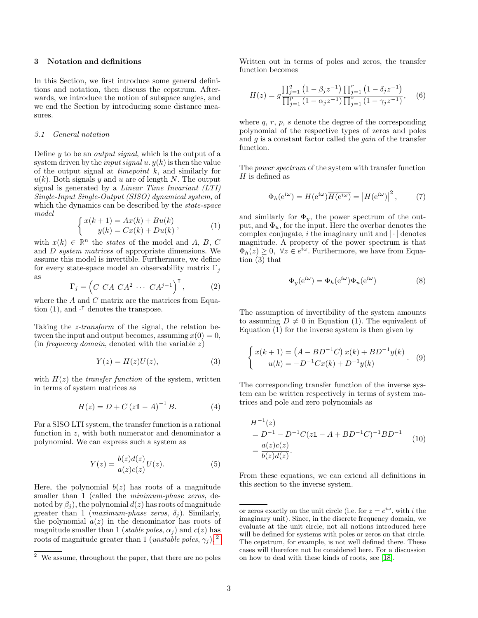## 3 Notation and definitions

In this Section, we first introduce some general definitions and notation, then discuss the cepstrum. Afterwards, we introduce the notion of subspace angles, and we end the Section by introducing some distance measures.

## 3.1 General notation

Define  $y$  to be an *output signal*, which is the output of a system driven by the *input signal u.*  $y(k)$  is then the value of the output signal at *timepoint*  $k$ , and similarly for  $u(k)$ . Both signals y and u are of length N. The output signal is generated by a Linear Time Invariant (LTI) Single-Input Single-Output (SISO) dynamical system, of which the dynamics can be described by the *state-space* model

$$
\begin{cases} x(k+1) = Ax(k) + Bu(k) \\ y(k) = Cx(k) + Du(k) \end{cases}
$$
\n
$$
(1)
$$

with  $x(k) \in \mathbb{R}^n$  the *states* of the model and A, B, C and D system matrices of appropriate dimensions. We assume this model is invertible. Furthermore, we define for every state-space model an observability matrix  $\Gamma_j$ as

$$
\Gamma_j = \left( C \ C A \ C A^2 \ \cdots \ C A^{j-1} \right)^{\mathsf{T}},\tag{2}
$$

where the A and C matrix are the matrices from Equation (1), and  $\cdot^{\intercal}$  denotes the transpose.

Taking the z-transform of the signal, the relation between the input and output becomes, assuming  $x(0) = 0$ , (in *frequency domain*, denoted with the variable  $z$ )

$$
Y(z) = H(z)U(z),\tag{3}
$$

with  $H(z)$  the *transfer function* of the system, written in terms of system matrices as

$$
H(z) = D + C (z\mathbb{1} - A)^{-1} B.
$$
 (4)

For a SISO LTI system, the transfer function is a rational function in z, with both numerator and denominator a polynomial. We can express such a system as

$$
Y(z) = \frac{b(z)d(z)}{a(z)c(z)}U(z).
$$
 (5)

Here, the polynomial  $b(z)$  has roots of a magnitude smaller than 1 (called the *minimum-phase zeros*, denoted by  $\beta_i$ , the polynomial  $d(z)$  has roots of magnitude greater than 1 (*maximum-phase zeros*,  $\delta_i$ ). Similarly, the polynomial  $a(z)$  in the denominator has roots of magnitude smaller than 1 (stable poles,  $\alpha_i$ ) and  $c(z)$  has roots of magnitude greater than 1 (*unstable poles*,  $\gamma_i$ ).<sup>[2](#page-2-0)</sup>

Written out in terms of poles and zeros, the transfer function becomes

$$
H(z) = g \frac{\prod_{j=1}^{q} (1 - \beta_j z^{-1}) \prod_{j=1}^{r} (1 - \delta_j z^{-1})}{\prod_{j=1}^{p} (1 - \alpha_j z^{-1}) \prod_{j=1}^{s} (1 - \gamma_j z^{-1})}, \quad (6)
$$

where  $q, r, p, s$  denote the degree of the corresponding polynomial of the respective types of zeros and poles and  $q$  is a constant factor called the *gain* of the transfer function.

The power spectrum of the system with transfer function  $H$  is defined as

$$
\Phi_h(e^{i\omega}) = H(e^{i\omega})\overline{H(e^{i\omega})} = |H(e^{i\omega})|^2, \qquad (7)
$$

and similarly for  $\Phi_y$ , the power spectrum of the output, and  $\Phi_u$ , for the input. Here the overbar denotes the complex conjugate, i the imaginary unit and  $|\cdot|$  denotes magnitude. A property of the power spectrum is that  $\Phi_h(z) \geq 0$ ,  $\forall z \in e^{i\omega}$ . Furthermore, we have from Equation (3) that

$$
\Phi_y(e^{i\omega}) = \Phi_h(e^{i\omega})\Phi_u(e^{i\omega})\tag{8}
$$

The assumption of invertibility of the system amounts to assuming  $D \neq 0$  in Equation (1). The equivalent of Equation (1) for the inverse system is then given by

$$
\begin{cases} x(k+1) = (A - BD^{-1}C) x(k) + BD^{-1} y(k) \\ u(k) = -D^{-1}Cx(k) + D^{-1} y(k) \end{cases} (9)
$$

The corresponding transfer function of the inverse system can be written respectively in terms of system matrices and pole and zero polynomials as

$$
H^{-1}(z)
$$
  
=  $D^{-1} - D^{-1}C(z\mathbb{1} - A + BD^{-1}C)^{-1}BD^{-1}$   
=  $\frac{a(z)c(z)}{b(z)d(z)}$ . (10)

From these equations, we can extend all definitions in this section to the inverse system.

<span id="page-2-0"></span> $2$  We assume, throughout the paper, that there are no poles

or zeros exactly on the unit circle (i.e. for  $z = e^{i\omega}$ , with i the imaginary unit). Since, in the discrete frequency domain, we evaluate at the unit circle, not all notions introduced here will be defined for systems with poles or zeros on that circle. The cepstrum, for example, is not well defined there. These cases will therefore not be considered here. For a discussion on how to deal with these kinds of roots, see [\[18\]](#page-13-9).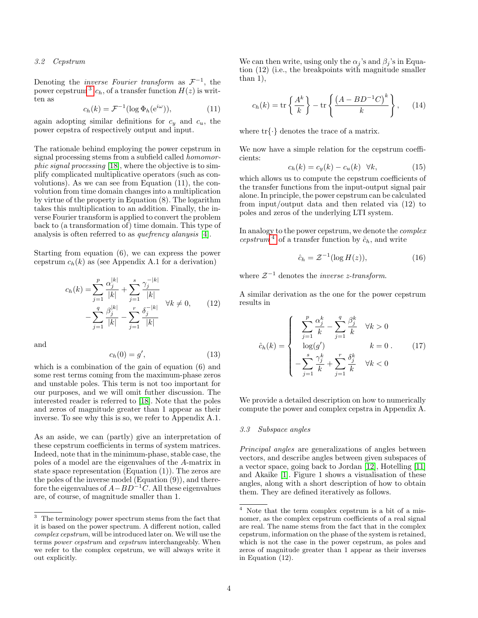#### 3.2 Cepstrum

Denoting the *inverse Fourier transform* as  $\mathcal{F}^{-1}$ , the power cepstrum <sup>[3](#page-3-0)</sup>  $c_h$ , of a transfer function  $H(z)$  is written as

$$
c_h(k) = \mathcal{F}^{-1}(\log \Phi_h(e^{i\omega})),\tag{11}
$$

again adopting similar definitions for  $c_y$  and  $c_u$ , the power cepstra of respectively output and input.

The rationale behind employing the power cepstrum in signal processing stems from a subfield called homomorphic signal processing [\[18\]](#page-13-9), where the objective is to simplify complicated multiplicative operators (such as convolutions). As we can see from Equation (11), the convolution from time domain changes into a multiplication by virtue of the property in Equation (8). The logarithm takes this multiplication to an addition. Finally, the inverse Fourier transform is applied to convert the problem back to (a transformation of) time domain. This type of analysis is often referred to as quefrency alanysis [\[4\]](#page-12-2).

Starting from equation (6), we can express the power cepstrum  $c_h(k)$  as (see Appendix A.1 for a derivation)

$$
c_h(k) = \sum_{j=1}^p \frac{\alpha_j^{|k|}}{|k|} + \sum_{j=1}^s \frac{\gamma_j^{-|k|}}{|k|} - \sum_{j=1}^q \frac{\beta_j^{|k|}}{|k|} - \sum_{j=1}^r \frac{\delta_j^{-|k|}}{|k|} \quad \forall k \neq 0,
$$
 (12)

and

$$
c_h(0) = g',\tag{13}
$$

which is a combination of the gain of equation (6) and some rest terms coming from the maximum-phase zeros and unstable poles. This term is not too important for our purposes, and we will omit futher discussion. The interested reader is referred to [\[18\]](#page-13-9). Note that the poles and zeros of magnitude greater than 1 appear as their inverse. To see why this is so, we refer to Appendix A.1.

As an aside, we can (partly) give an interpretation of these cepstrum coefficients in terms of system matrices. Indeed, note that in the minimum-phase, stable case, the poles of a model are the eigenvalues of the A-matrix in state space representation  $(Equation (1))$ . The zeros are the poles of the inverse model (Equation (9)), and therefore the eigenvalues of  $A-BD^{-1}C$ . All these eigenvalues are, of course, of magnitude smaller than 1.

We can then write, using only the  $\alpha_i$ 's and  $\beta_i$ 's in Equation (12) (i.e., the breakpoints with magnitude smaller than 1),

$$
c_h(k) = \text{tr}\left\{\frac{A^k}{k}\right\} - \text{tr}\left\{\frac{\left(A - BD^{-1}C\right)^k}{k}\right\},\qquad(14)
$$

where  $\text{tr}\{\cdot\}$  denotes the trace of a matrix.

We now have a simple relation for the cepstrum coefficients:

$$
c_h(k) = c_y(k) - c_u(k) \quad \forall k,
$$
\n(15)

which allows us to compute the cepstrum coefficients of the transfer functions from the input-output signal pair alone. In principle, the power cepstrum can be calculated from input/output data and then related via (12) to poles and zeros of the underlying LTI system.

In analogy to the power cepstrum, we denote the complex cepstrum<sup>[4](#page-3-1)</sup> of a transfer function by  $\hat{c}_h$ , and write

$$
\hat{c}_h = \mathcal{Z}^{-1}(\log H(z)),\tag{16}
$$

where  $\mathcal{Z}^{-1}$  denotes the *inverse z-transform*.

A similar derivation as the one for the power cepstrum results in

$$
\hat{c}_h(k) = \begin{cases}\n\sum_{j=1}^p \frac{\alpha_j^k}{k} - \sum_{j=1}^q \frac{\beta_j^k}{k} & \forall k > 0 \\
\log(g') & k = 0. \\
-\sum_{j=1}^s \frac{\gamma_j^k}{k} + \sum_{j=1}^r \frac{\delta_j^k}{k} & \forall k < 0\n\end{cases}
$$
\n(17)

We provide a detailed description on how to numerically compute the power and complex cepstra in Appendix A.

# 3.3 Subspace angles

Principal angles are generalizations of angles between vectors, and describe angles between given subspaces of a vector space, going back to Jordan [\[12\]](#page-13-10), Hotelling [\[11\]](#page-13-11) and Akaike [\[1\]](#page-12-3). Figure 1 shows a visualisation of these angles, along with a short description of how to obtain them. They are defined iteratively as follows.

<span id="page-3-0"></span> $^3\,$  The terminology power spectrum stems from the fact that it is based on the power spectrum. A different notion, called complex cepstrum, will be introduced later on. We will use the terms power cepstrum and cepstrum interchangeably. When we refer to the complex cepstrum, we will always write it out explicitly.

<span id="page-3-1"></span><sup>4</sup> Note that the term complex cepstrum is a bit of a misnomer, as the complex cepstrum coefficients of a real signal are real. The name stems from the fact that in the complex cepstrum, information on the phase of the system is retained, which is not the case in the power cepstrum, as poles and zeros of magnitude greater than 1 appear as their inverses in Equation (12).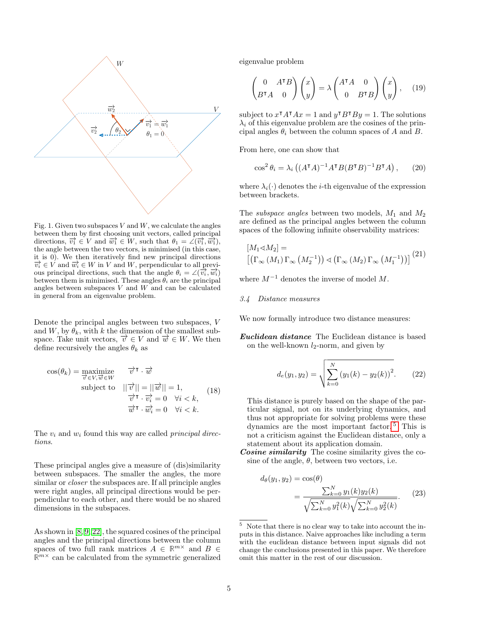

Fig. 1. Given two subspaces  $V$  and  $W$ , we calculate the angles between them by first choosing unit vectors, called principal directions,  $\overline{v_1} \in V$  and  $\overline{w_1} \in W$ , such that  $\theta_1 = \angle(\overline{v_1}, \overline{w_1}),$ the angle between the two vectors, is minimised (in this case, it is 0). We then iteratively find new principal directions  $\overrightarrow{v_i} \in V$  and  $\overrightarrow{w_i} \in W$  in V and W, perpendicular to all previous principal directions, such that the angle  $\theta_i = \angle(\overrightarrow{v_i}, \overrightarrow{w_i})$ between them is minimised. These angles  $\theta_i$  are the principal angles between subspaces  $V$  and  $W$  and can be calculated in general from an eigenvalue problem.

Denote the principal angles between two subspaces, V and W, by  $\theta_k$ , with k the dimension of the smallest subspace. Take unit vectors,  $\overrightarrow{v} \in V$  and  $\overrightarrow{w} \in W$ . We then define recursively the angles  $\theta_k$  as

$$
\cos(\theta_k) = \begin{array}{ll}\n\text{maximize} & \overrightarrow{v} \cdot \overrightarrow{w} \\
\overrightarrow{v} \in V, \overrightarrow{w} \in W \\
\text{subject to} & ||\overrightarrow{v}|| = ||\overrightarrow{w}|| = 1, \\
\overrightarrow{v} \cdot \overrightarrow{v_i} = 0 \quad \forall i < k, \\
\overrightarrow{w} \cdot \overrightarrow{w_i} = 0 \quad \forall i < k.\n\end{array} \tag{18}
$$

The  $v_i$  and  $w_i$  found this way are called *principal direc*tions.

These principal angles give a measure of (dis)similarity between subspaces. The smaller the angles, the more similar or *closer* the subspaces are. If all principle angles were right angles, all principal directions would be perpendicular to each other, and there would be no shared dimensions in the subspaces.

As shown in [\[8,](#page-13-0) [9,](#page-13-12) [22\]](#page-13-13), the squared cosines of the principal angles and the principal directions between the column spaces of two full rank matrices  $A \in \mathbb{R}^{m \times}$  and  $B \in \mathbb{R}^{m \times}$  $\mathbb{R}^{m \times}$  can be calculated from the symmetric generalized

eigenvalue problem

$$
\begin{pmatrix} 0 & A^{\mathsf{T}}B \\ B^{\mathsf{T}}A & 0 \end{pmatrix} \begin{pmatrix} x \\ y \end{pmatrix} = \lambda \begin{pmatrix} A^{\mathsf{T}}A & 0 \\ 0 & B^{\mathsf{T}}B \end{pmatrix} \begin{pmatrix} x \\ y \end{pmatrix}, \quad (19)
$$

subject to  $x^{\dagger} A^{\dagger} A x = 1$  and  $y^{\dagger} B^{\dagger} B y = 1$ . The solutions  $\lambda_i$  of this eigenvalue problem are the cosines of the principal angles  $\theta_i$  between the column spaces of A and B.

From here, one can show that

$$
\cos^2 \theta_i = \lambda_i \left( (A^{\mathsf{T}} A)^{-1} A^{\mathsf{T}} B (B^{\mathsf{T}} B)^{-1} B^{\mathsf{T}} A \right), \qquad (20)
$$

where  $\lambda_i(\cdot)$  denotes the *i*-th eigenvalue of the expression between brackets.

The *subspace angles* between two models,  $M_1$  and  $M_2$ are defined as the principal angles between the column spaces of the following infinite observability matrices:

$$
[M_1 \triangleleft M_2] =
$$

$$
[(\Gamma_{\infty} (M_1) \Gamma_{\infty} (M_2^{-1})) \triangleleft (\Gamma_{\infty} (M_2) \Gamma_{\infty} (M_1^{-1}))]
$$
<sup>(21)</sup>

where  $M^{-1}$  denotes the inverse of model M.

# 3.4 Distance measures

We now formally introduce two distance measures:

Euclidean distance The Euclidean distance is based on the well-known  $l_2$ -norm, and given by

$$
d_e(y_1, y_2) = \sqrt{\sum_{k=0}^{N} (y_1(k) - y_2(k))^2}.
$$
 (22)

This distance is purely based on the shape of the particular signal, not on its underlying dynamics, and thus not appropriate for solving problems were these dynamics are the most important factor. [5](#page-4-0) This is not a criticism against the Euclidean distance, only a statement about its application domain.

Cosine similarity The cosine similarity gives the cosine of the angle,  $\theta$ , between two vectors, i.e.

$$
d_{\theta}(y_1, y_2) = \cos(\theta)
$$
  
= 
$$
\frac{\sum_{k=0}^{N} y_1(k) y_2(k)}{\sqrt{\sum_{k=0}^{N} y_1^2(k)} \sqrt{\sum_{k=0}^{N} y_2^2(k)}}.
$$
 (23)

<span id="page-4-0"></span><sup>5</sup> Note that there is no clear way to take into account the inputs in this distance. Naive approaches like including a term with the euclidean distance between input signals did not change the conclusions presented in this paper. We therefore omit this matter in the rest of our discussion.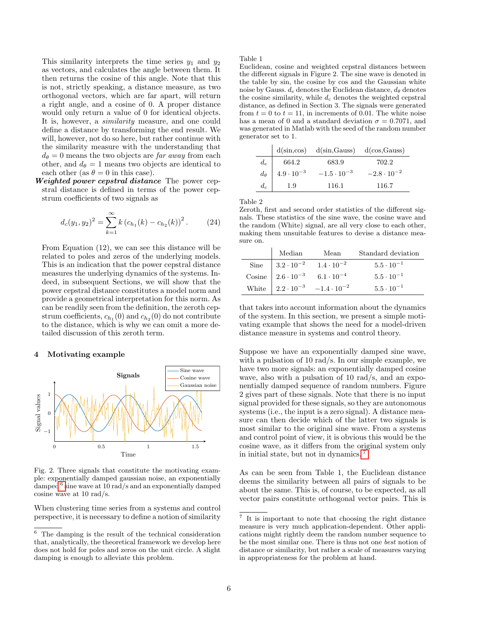This similarity interprets the time series  $y_1$  and  $y_2$ as vectors, and calculates the angle between them. It then returns the cosine of this angle. Note that this is not, strictly speaking, a distance measure, as two orthogonal vectors, which are far apart, will return a right angle, and a cosine of 0. A proper distance would only return a value of 0 for identical objects. It is, however, a *similarity* measure, and one could define a distance by transforming the end result. We will, however, not do so here, but rather continue with the similarity measure with the understanding that  $d_{\theta} = 0$  means the two objects are far away from each other, and  $d_{\theta} = 1$  means two objects are identical to each other (as  $\theta = 0$  in this case).

Weighted power cepstral distance The power cepstral distance is defined in terms of the power cepstrum coefficients of two signals as

$$
d_c(y_1, y_2)^2 = \sum_{k=1}^{\infty} k (c_{h_1}(k) - c_{h_2}(k))^2.
$$
 (24)

From Equation (12), we can see this distance will be related to poles and zeros of the underlying models. This is an indication that the power cepstral distance measures the underlying dynamics of the systems. Indeed, in subsequent Sections, we will show that the power cepstral distance constitutes a model norm and provide a geometrical interpretation for this norm. As can be readily seen from the definition, the zeroth cepstrum coefficients,  $c_{h_1}(0)$  and  $c_{h_2}(0)$  do not contribute to the distance, which is why we can omit a more detailed discussion of this zeroth term.

#### 4 Motivating example



Fig. 2. Three signals that constitute the motivating example: exponentially damped gaussian noise, an exponentially damped  $^6$  $^6$  sine wave at 10 rad/s and an exponentially damped cosine wave at 10 rad/s.

When clustering time series from a systems and control perspective, it is necessary to define a notion of similarity

Table 1

Euclidean, cosine and weighted cepstral distances between the different signals in Figure 2. The sine wave is denoted in the table by sin, the cosine by cos and the Gaussian white noise by Gauss.  $d_e$  denotes the Euclidean distance,  $d_\theta$  denotes the cosine similarity, while  $d_c$  denotes the weighted cepstral distance, as defined in Section 3. The signals were generated from  $t = 0$  to  $t = 11$ , in increments of 0.01. The white noise has a mean of 0 and a standard deviation  $\sigma = 0.7071$ , and was generated in Matlab with the seed of the random number generator set to 1.

|       |                                    | $d(sin, cos)$ $d(sin,Gauss)$ $d(cos,Gauss)$ |                      |
|-------|------------------------------------|---------------------------------------------|----------------------|
| $d_e$ | 664.2                              | 683.9                                       | 702.2                |
|       | $d_{\theta}$   $4.9 \cdot 10^{-3}$ | $-1.5 \cdot 10^{-3}$                        | $-2.8 \cdot 10^{-2}$ |
| $d_c$ | 1.9                                | 116.1                                       | 116.7                |

Table 2

Zeroth, first and second order statistics of the different signals. These statistics of the sine wave, the cosine wave and the random (White) signal, are all very close to each other, making them unsuitable features to devise a distance measure on.

| Median                           | Mean                                               | Standard deviation  |
|----------------------------------|----------------------------------------------------|---------------------|
| Sine $\Big  3.2 \cdot 10^{-2}$   | $1.4 \cdot 10^{-2}$                                | $5.5 \cdot 10^{-1}$ |
| Cosine $\Big  2.6 \cdot 10^{-3}$ | $6.1\cdot10^{-4}$                                  | $5.5 \cdot 10^{-1}$ |
|                                  | White $\Big  2.2 \cdot 10^{-3} -1.4 \cdot 10^{-2}$ | $5.5 \cdot 10^{-1}$ |

that takes into account information about the dynamics of the system. In this section, we present a simple motivating example that shows the need for a model-driven distance measure in systems and control theory.

Suppose we have an exponentially damped sine wave, with a pulsation of 10 rad/s. In our simple example, we have two more signals: an exponentially damped cosine wave, also with a pulsation of 10 rad/s, and an exponentially damped sequence of random numbers. Figure 2 gives part of these signals. Note that there is no input signal provided for these signals, so they are autonomous systems (i.e., the input is a zero signal). A distance measure can then decide which of the latter two signals is most similar to the original sine wave. From a systems and control point of view, it is obvious this would be the cosine wave, as it differs from the original system only in initial state, but not in dynamics. [7](#page-5-1)

As can be seen from Table 1, the Euclidean distance deems the similarity between all pairs of signals to be about the same. This is, of course, to be expected, as all vector pairs constitute orthogonal vector pairs. This is

<span id="page-5-0"></span><sup>6</sup> The damping is the result of the technical consideration that, analytically, the theoretical framework we develop here does not hold for poles and zeros on the unit circle. A slight damping is enough to alleviate this problem.

<span id="page-5-1"></span><sup>7</sup> It is important to note that choosing the right distance measure is very much application-dependent. Other applications might rightly deem the random number sequence to be the most similar one. There is thus not one best notion of distance or similarity, but rather a scale of measures varying in appropriateness for the problem at hand.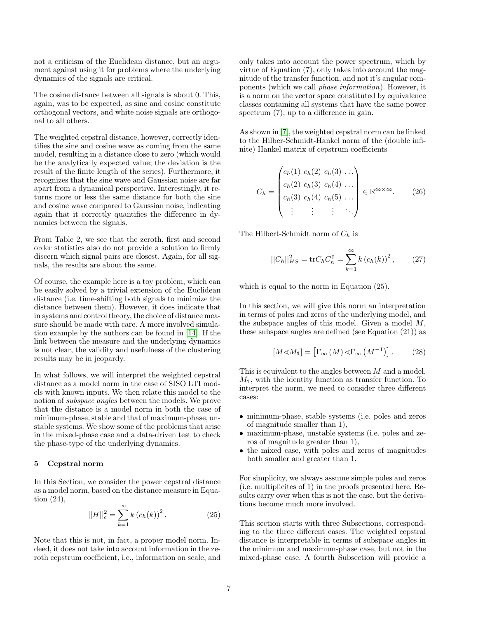not a criticism of the Euclidean distance, but an argument against using it for problems where the underlying dynamics of the signals are critical.

The cosine distance between all signals is about 0. This, again, was to be expected, as sine and cosine constitute orthogonal vectors, and white noise signals are orthogonal to all others.

The weighted cepstral distance, however, correctly identifies the sine and cosine wave as coming from the same model, resulting in a distance close to zero (which would be the analytically expected value; the deviation is the result of the finite length of the series). Furthermore, it recognizes that the sine wave and Gaussian noise are far apart from a dynamical perspective. Interestingly, it returns more or less the same distance for both the sine and cosine wave compared to Gaussian noise, indicating again that it correctly quantifies the difference in dynamics between the signals.

From Table 2, we see that the zeroth, first and second order statistics also do not provide a solution to firmly discern which signal pairs are closest. Again, for all signals, the results are about the same.

Of course, the example here is a toy problem, which can be easily solved by a trivial extension of the Euclidean distance (i.e. time-shifting both signals to minimize the distance between them). However, it does indicate that in systems and control theory, the choice of distance measure should be made with care. A more involved simulation example by the authors can be found in [\[14\]](#page-13-14). If the link between the measure and the underlying dynamics is not clear, the validity and usefulness of the clustering results may be in jeopardy.

In what follows, we will interpret the weighted cepstral distance as a model norm in the case of SISO LTI models with known inputs. We then relate this model to the notion of subspace angles between the models. We prove that the distance is a model norm in both the case of minimum-phase, stable and that of maximum-phase, unstable systems. We show some of the problems that arise in the mixed-phase case and a data-driven test to check the phase-type of the underlying dynamics.

# 5 Cepstral norm

In this Section, we consider the power cepstral distance as a model norm, based on the distance measure in Equation (24),

$$
||H||_c^2 = \sum_{k=1}^{\infty} k (c_h(k))^2.
$$
 (25)

Note that this is not, in fact, a proper model norm. Indeed, it does not take into account information in the zeroth cepstrum coefficient, i.e., information on scale, and only takes into account the power spectrum, which by virtue of Equation  $(7)$ , only takes into account the magnitude of the transfer function, and not it's angular components (which we call phase information). However, it is a norm on the vector space constituted by equivalence classes containing all systems that have the same power spectrum  $(7)$ , up to a difference in gain.

As shown in [\[7\]](#page-13-15), the weighted cepstral norm can be linked to the Hilber-Schmidt-Hankel norm of the (double infinite) Hankel matrix of cepstrum coefficients

$$
C_{h} = \begin{pmatrix} c_{h}(1) & c_{h}(2) & c_{h}(3) & \dots \\ c_{h}(2) & c_{h}(3) & c_{h}(4) & \dots \\ c_{h}(3) & c_{h}(4) & c_{h}(5) & \dots \\ \vdots & \vdots & \vdots & \ddots \end{pmatrix} \in \mathbb{R}^{\infty \times \infty}.
$$
 (26)

The Hilbert-Schmidt norm of  $C_h$  is

$$
||C_h||_{HS}^2 = \text{tr}C_h C_h^{\mathsf{T}} = \sum_{k=1}^{\infty} k (c_h(k))^2, \qquad (27)
$$

which is equal to the norm in Equation (25).

In this section, we will give this norm an interpretation in terms of poles and zeros of the underlying model, and the subspace angles of this model. Given a model M, these subspace angles are defined (see Equation (21)) as

$$
[M \triangleleft M_1] = [\Gamma_{\infty} (M) \triangleleft \Gamma_{\infty} (M^{-1})]. \tag{28}
$$

This is equivalent to the angles between M and a model,  $M_1$ , with the identity function as transfer function. To interpret the norm, we need to consider three different cases:

- minimum-phase, stable systems (i.e. poles and zeros of magnitude smaller than 1),
- maximum-phase, unstable systems (i.e. poles and zeros of magnitude greater than 1),
- the mixed case, with poles and zeros of magnitudes both smaller and greater than 1.

For simplicity, we always assume simple poles and zeros (i.e. multiplicites of 1) in the proofs presented here. Results carry over when this is not the case, but the derivations become much more involved.

This section starts with three Subsections, corresponding to the three different cases. The weighted cepstral distance is interpretable in terms of subspace angles in the minimum and maximum-phase case, but not in the mixed-phase case. A fourth Subsection will provide a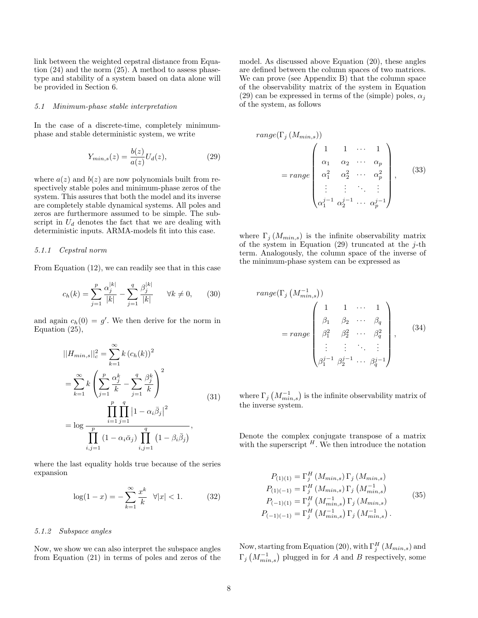link between the weighted cepstral distance from Equation (24) and the norm (25). A method to assess phasetype and stability of a system based on data alone will be provided in Section 6.

#### 5.1 Minimum-phase stable interpretation

In the case of a discrete-time, completely minimumphase and stable deterministic system, we write

$$
Y_{min,s}(z) = \frac{b(z)}{a(z)} U_d(z),\tag{29}
$$

where  $a(z)$  and  $b(z)$  are now polynomials built from respectively stable poles and minimum-phase zeros of the system. This assures that both the model and its inverse are completely stable dynamical systems. All poles and zeros are furthermore assumed to be simple. The subscript in  $U_d$  denotes the fact that we are dealing with deterministic inputs. ARMA-models fit into this case.

# 5.1.1 Cepstral norm

From Equation (12), we can readily see that in this case

$$
c_h(k) = \sum_{j=1}^p \frac{\alpha_j^{|k|}}{|k|} - \sum_{j=1}^q \frac{\beta_j^{|k|}}{|k|} \qquad \forall k \neq 0,
$$
 (30)

and again  $c_h(0) = g'$ . We then derive for the norm in Equation (25),

$$
||H_{min,s}||_{c}^{2} = \sum_{k=1}^{\infty} k (c_{h}(k))^{2}
$$
  
=  $\sum_{k=1}^{\infty} k \left( \sum_{j=1}^{p} \frac{\alpha_{j}^{k}}{k} - \sum_{j=1}^{q} \frac{\beta_{j}^{k}}{k} \right)^{2}$   
=  $\log \frac{\prod_{i=1}^{p} \prod_{j=1}^{q} |1 - \alpha_{i} \bar{\beta}_{j}|^{2}}{\prod_{i,j=1}^{p} (1 - \alpha_{i} \bar{\alpha}_{j}) \prod_{i,j=1}^{q} (1 - \beta_{i} \bar{\beta}_{j})},$  (31)

where the last equality holds true because of the series expansion

$$
\log(1 - x) = -\sum_{k=1}^{\infty} \frac{x^k}{k} \quad \forall |x| < 1. \tag{32}
$$

## 5.1.2 Subspace angles

Now, we show we can also interpret the subspace angles from Equation (21) in terms of poles and zeros of the model. As discussed above Equation (20), these angles are defined between the column spaces of two matrices. We can prove (see Appendix B) that the column space of the observability matrix of the system in Equation (29) can be expressed in terms of the (simple) poles,  $\alpha_i$ of the system, as follows

$$
range(\Gamma_j(M_{min,s}))
$$
\n
$$
= range\begin{pmatrix}\n1 & 1 & \cdots & 1 \\
\alpha_1 & \alpha_2 & \cdots & \alpha_p \\
\alpha_1^2 & \alpha_2^2 & \cdots & \alpha_p^2 \\
\vdots & \vdots & \ddots & \vdots \\
\alpha_1^{j-1} & \alpha_2^{j-1} & \cdots & \alpha_p^{j-1}\n\end{pmatrix},
$$
\n(33)

where  $\Gamma_i (M_{min,s})$  is the infinite observability matrix of the system in Equation (29) truncated at the  $j$ -th term. Analogously, the column space of the inverse of the minimum-phase system can be expressed as

range(
$$
\Gamma_j
$$
 ( $M_{min,s}^{-1}$ ))  
\n
$$
= range \begin{pmatrix}\n1 & 1 & \cdots & 1 \\
\beta_1 & \beta_2 & \cdots & \beta_q \\
\beta_1^2 & \beta_2^2 & \cdots & \beta_q^2 \\
\vdots & \vdots & \ddots & \vdots \\
\beta_1^{j-1} & \beta_2^{j-1} & \cdots & \beta_q^{j-1}\n\end{pmatrix},
$$
\n(34)

where  $\Gamma_j\left(M_{min,s}^{-1}\right)$  is the infinite observability matrix of the inverse system.

Denote the complex conjugate transpose of a matrix with the superscript  $^H$ . We then introduce the notation

$$
P_{(1)(1)} = \Gamma_j^H (M_{min,s}) \Gamma_j (M_{min,s})
$$
  
\n
$$
P_{(1)(-1)} = \Gamma_j^H (M_{min,s}) \Gamma_j (M_{min,s}^{-1})
$$
  
\n
$$
P_{(-1)(1)} = \Gamma_j^H (M_{min,s}^{-1}) \Gamma_j (M_{min,s})
$$
  
\n
$$
P_{(-1)(-1)} = \Gamma_j^H (M_{min,s}^{-1}) \Gamma_j (M_{min,s}^{-1}).
$$
\n(35)

Now, starting from Equation (20), with  $\Gamma_j^H(M_{min,s})$  and  $\Gamma_j\left(M_{min,s}^{-1}\right)$  plugged in for A and B respectively, some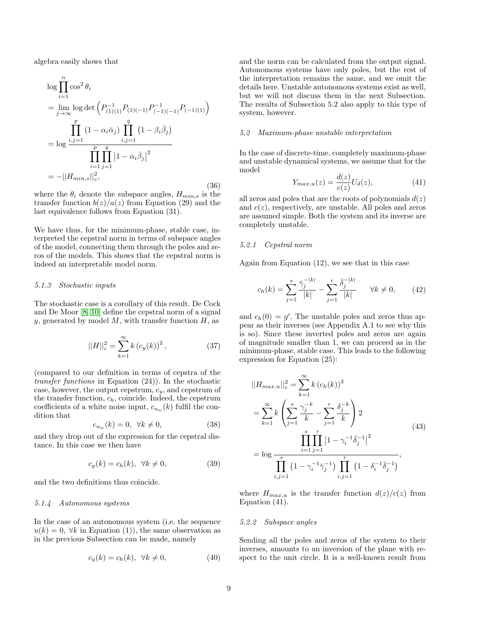algebra easily shows that

$$
\log \prod_{i=1}^{n} \cos^{2} \theta_{i}
$$
\n
$$
= \lim_{j \to \infty} \log \det \left( P_{(1)(1)}^{-1} P_{(1)(-1)} P_{(-1)(-1)}^{-1} P_{(-1)(1)} \right)
$$
\n
$$
\prod_{i,j=1}^{p} (1 - \alpha_{i} \bar{\alpha}_{j}) \prod_{i,j=1}^{q} (1 - \beta_{i} \bar{\beta}_{j})
$$
\n
$$
= \log \frac{\prod_{i=1}^{p} \prod_{j=1}^{q} |1 - \alpha_{i} \bar{\beta}_{j}|^{2}}{\prod_{i=1}^{p} \prod_{j=1}^{q} |1 - \alpha_{i} \bar{\beta}_{j}|^{2}}
$$
\n
$$
= -||H_{min,s}||_{c}^{2}, \qquad (36)
$$

where the  $\theta_i$  denote the subspace angles,  $H_{min,s}$  is the transfer function  $b(z)/a(z)$  from Equation (29) and the last equivalence follows from Equation (31).

We have thus, for the minimum-phase, stable case, interpreted the cepstral norm in terms of subspace angles of the model, connecting them through the poles and zeros of the models. This shows that the cepstral norm is indeed an interpretable model norm.

#### 5.1.3 Stochastic inputs

The stochastic case is a corollary of this result. De Cock and De Moor [\[8,](#page-13-0) [10\]](#page-13-1) define the cepstral norm of a signal y, generated by model  $M$ , with transfer function  $H$ , as

$$
||H||_c^2 = \sum_{k=1}^{\infty} k (c_y(k))^2, \qquad (37)
$$

(compared to our definition in terms of cepstra of the transfer functions in Equation (24)). In the stochastic case, however, the output cepstrum,  $c_y$ , and cepstrum of the transfer function,  $c_h$ , coincide. Indeed, the cepstrum coefficients of a white noise input,  $c_{u_w}(k)$  fulfil the condition that

$$
c_{u_w}(k) = 0, \ \forall k \neq 0,\tag{38}
$$

and they drop out of the expression for the cepstral distance. In this case we then have

$$
c_y(k) = c_h(k), \ \forall k \neq 0,
$$
\n(39)

and the two definitions thus coincide.

#### 5.1.4 Autonomous systems

In the case of an autonomous system (i.e. the sequence  $u(k) = 0$ ,  $\forall k$  in Equation (1)), the same observation as in the previous Subsection can be made, namely

$$
c_y(k) = c_h(k), \ \forall k \neq 0,
$$
\n<sup>(40)</sup>

and the norm can be calculated from the output signal. Autonomous systems have only poles, but the rest of the interpretation remains the same, and we omit the details here. Unstable autonomous systems exist as well, but we will not discuss them in the next Subsection. The results of Subsection 5.2 also apply to this type of system, however.

#### 5.2 Maximum-phase unstable interpretation

In the case of discrete-time, completely maximum-phase and unstable dynamical systems, we assume that for the model

$$
Y_{max,u}(z) = \frac{d(z)}{c(z)} U_d(z),
$$
\n(41)

all zeros and poles that are the roots of polynomials  $d(z)$ and  $c(z)$ , respectively, are unstable. All poles and zeros are assumed simple. Both the system and its inverse are completely unstable.

# 5.2.1 Cepstral norm

Again from Equation (12), we see that in this case

$$
c_h(k) = \sum_{j=1}^s \frac{\bar{\gamma}_j^{-|k|}}{|k|} - \sum_{j=1}^r \frac{\bar{\delta}_j^{-|k|}}{|k|} \qquad \forall k \neq 0,
$$
 (42)

and  $c_h(0) = g'$ . The unstable poles and zeros thus appear as their inverses (see Appendix A.1 to see why this is so). Since these inverted poles and zeros are again of magnitude smaller than 1, we can proceed as in the minimum-phase, stable case. This leads to the following expression for Equation (25):

$$
||H_{max,u}||_c^2 = \sum_{k=1}^{\infty} k (c_h(k))^2
$$
  
= 
$$
\sum_{k=1}^{\infty} k \left( \sum_{j=1}^s \frac{\gamma_j^{-k}}{k} - \sum_{j=1}^r \frac{\delta_j^{-k}}{k} \right) 2
$$
  
= 
$$
\log \frac{\prod_{i=1}^s \prod_{j=1}^r |1 - \gamma_i^{-1} \bar{\delta}_j^{-1}|^2}{\prod_{i,j=1}^s (1 - \gamma_i^{-1} \bar{\gamma}_j^{-1}) \prod_{i,j=1}^r (1 - \delta_i^{-1} \bar{\delta}_j^{-1})},
$$
 (43)

where  $H_{max,u}$  is the transfer function  $d(z)/c(z)$  from Equation (41).

## 5.2.2 Subspace angles

Sending all the poles and zeros of the system to their inverses, amounts to an inversion of the plane with respect to the unit circle. It is a well-known result from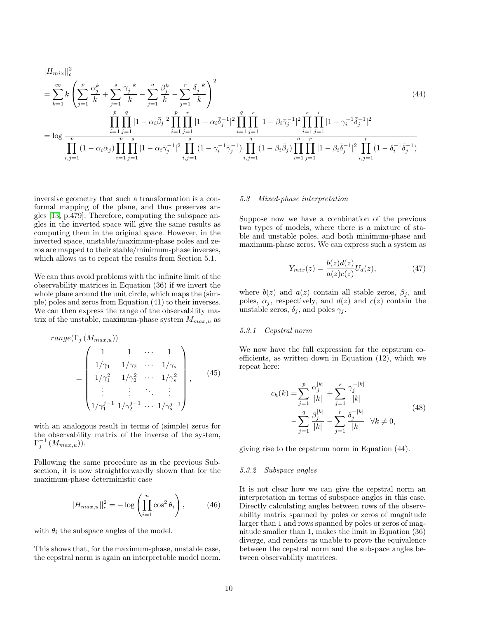$$
||H_{mix}||_{c}^{2}
$$
\n
$$
= \sum_{k=1}^{\infty} k \left( \sum_{j=1}^{p} \frac{\alpha_{j}^{k}}{k} + \sum_{j=1}^{s} \frac{\gamma_{j}^{-k}}{k} - \sum_{j=1}^{q} \frac{\beta_{j}^{k}}{k} - \sum_{j=1}^{r} \frac{\delta_{j}^{-k}}{k} \right)^{2}
$$
\n
$$
= \log \frac{\prod_{i=1}^{p} \prod_{j=1}^{q} |1 - \alpha_{i} \bar{\beta}_{j}|^{2} \prod_{i=1}^{p} \prod_{j=1}^{r} |1 - \alpha_{i} \bar{\delta}_{j}^{-1}|^{2} \prod_{i=1}^{q} \prod_{j=1}^{s} |1 - \beta_{i} \bar{\gamma}_{j}^{-1}|^{2} \prod_{i=1}^{s} \prod_{j=1}^{r} |1 - \gamma_{i}^{-1} \bar{\delta}_{j}^{-1}|^{2}}{\prod_{i,j=1}^{p} (1 - \alpha_{i} \bar{\alpha}_{j}) \prod_{i=1}^{p} \prod_{j=1}^{s} |1 - \alpha_{i} \bar{\gamma}_{j}^{-1}|^{2} \prod_{i,j=1}^{s} (1 - \gamma_{i}^{-1} \bar{\gamma}_{j}^{-1}) \prod_{i,j=1}^{q} (1 - \beta_{i} \bar{\beta}_{j}) \prod_{i=1}^{q} \prod_{j=1}^{r} |1 - \beta_{i} \bar{\delta}_{j}^{-1}|^{2} \prod_{i,j=1}^{r} (1 - \delta_{i}^{-1} \bar{\delta}_{j}^{-1})}
$$
\n(44)

inversive geometry that such a transformation is a conformal mapping of the plane, and thus preserves angles [\[13,](#page-13-16) p.479]. Therefore, computing the subspace angles in the inverted space will give the same results as computing them in the original space. However, in the inverted space, unstable/maximum-phase poles and zeros are mapped to their stable/minimum-phase inverses, which allows us to repeat the results from Section 5.1.

We can thus avoid problems with the infinite limit of the observability matrices in Equation (36) if we invert the whole plane around the unit circle, which maps the (simple) poles and zeros from Equation (41) to their inverses. We can then express the range of the observability matrix of the unstable, maximum-phase system  $M_{max,u}$  as

$$
range(\Gamma_j (M_{max,u}))
$$
\n
$$
= \begin{pmatrix}\n1 & 1 & \cdots & 1 \\
1/\gamma_1 & 1/\gamma_2 & \cdots & 1/\gamma_s \\
1/\gamma_1^2 & 1/\gamma_2^2 & \cdots & 1/\gamma_s^2 \\
\vdots & \vdots & \ddots & \vdots \\
1/\gamma_1^{j-1} & 1/\gamma_2^{j-1} & \cdots & 1/\gamma_s^{j-1}\n\end{pmatrix},
$$
\n(45)

with an analogous result in terms of (simple) zeros for the observability matrix of the inverse of the system,  $\Gamma_j^{-1}\left(M_{max,u}\right)$ ).

Following the same procedure as in the previous Subsection, it is now straightforwardly shown that for the maximum-phase deterministic case

$$
||H_{max,u}||_c^2 = -\log\left(\prod_{i=1}^n \cos^2 \theta_i\right),\qquad(46)
$$

with  $\theta_i$  the subspace angles of the model.

This shows that, for the maximum-phase, unstable case, the cepstral norm is again an interpretable model norm.

#### 5.3 Mixed-phase interpretation

Suppose now we have a combination of the previous two types of models, where there is a mixture of stable and unstable poles, and both minimum-phase and maximum-phase zeros. We can express such a system as

$$
Y_{mix}(z) = \frac{b(z)d(z)}{a(z)c(z)}U_d(z),\tag{47}
$$

where  $b(z)$  and  $a(z)$  contain all stable zeros,  $\beta_j$ , and poles,  $\alpha_i$ , respectively, and  $d(z)$  and  $c(z)$  contain the unstable zeros,  $\delta_j$ , and poles  $\gamma_j$ .

## 5.3.1 Cepstral norm

We now have the full expression for the cepstrum coefficients, as written down in Equation (12), which we repeat here:

$$
c_h(k) = \sum_{j=1}^p \frac{\alpha_j^{|k|}}{|k|} + \sum_{j=1}^s \frac{\gamma_j^{-|k|}}{|k|} - \sum_{j=1}^q \frac{\beta_j^{|k|}}{|k|} - \sum_{j=1}^r \frac{\delta_j^{-|k|}}{|k|} \quad \forall k \neq 0,
$$
\n
$$
(48)
$$

giving rise to the cepstrum norm in Equation (44).

# 5.3.2 Subspace angles

It is not clear how we can give the cepstral norm an interpretation in terms of subspace angles in this case. Directly calculating angles between rows of the observability matrix spanned by poles or zeros of magnitude larger than 1 and rows spanned by poles or zeros of magnitude smaller than 1, makes the limit in Equation (36) diverge, and renders us unable to prove the equivalence between the cepstral norm and the subspace angles between observability matrices.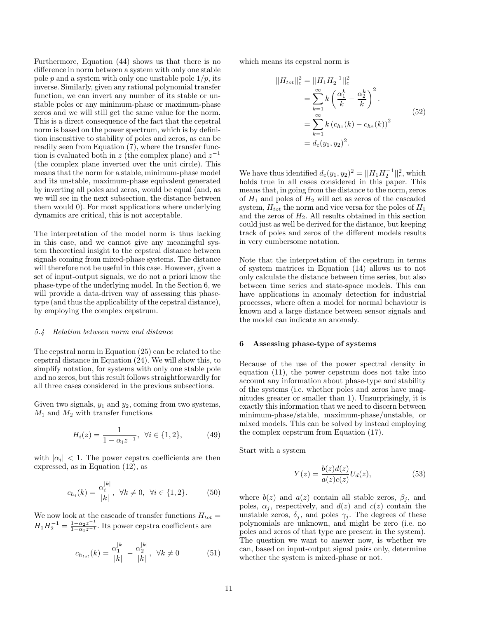Furthermore, Equation (44) shows us that there is no difference in norm between a system with only one stable pole p and a system with only one unstable pole  $1/p$ , its inverse. Similarly, given any rational polynomial transfer function, we can invert any number of its stable or unstable poles or any minimum-phase or maximum-phase zeros and we will still get the same value for the norm. This is a direct consequence of the fact that the cepstral norm is based on the power spectrum, which is by definition insensitive to stability of poles and zeros, as can be readily seen from Equation (7), where the transfer function is evaluated both in z (the complex plane) and  $z^{-1}$ (the complex plane inverted over the unit circle). This means that the norm for a stable, minimum-phase model and its unstable, maximum-phase equivalent generated by inverting all poles and zeros, would be equal (and, as we will see in the next subsection, the distance between them would 0). For most applications where underlying dynamics are critical, this is not acceptable.

The interpretation of the model norm is thus lacking in this case, and we cannot give any meaningful system theoretical insight to the cepstral distance between signals coming from mixed-phase systems. The distance will therefore not be useful in this case. However, given a set of input-output signals, we do not a priori know the phase-type of the underlying model. In the Section 6, we will provide a data-driven way of assessing this phasetype (and thus the applicability of the cepstral distance), by employing the complex cepstrum.

#### 5.4 Relation between norm and distance

The cepstral norm in Equation (25) can be related to the cepstral distance in Equation (24). We will show this, to simplify notation, for systems with only one stable pole and no zeros, but this result follows straightforwardly for all three cases considered in the previous subsections.

Given two signals,  $y_1$  and  $y_2$ , coming from two systems,  $M_1$  and  $M_2$  with transfer functions

$$
H_i(z) = \frac{1}{1 - \alpha_i z^{-1}}, \ \forall i \in \{1, 2\}, \tag{49}
$$

with  $|\alpha_i| < 1$ . The power cepstra coefficients are then expressed, as in Equation (12), as

$$
c_{h_i}(k) = \frac{\alpha_i^{|k|}}{|k|}, \ \forall k \neq 0, \ \forall i \in \{1, 2\}.
$$
 (50)

We now look at the cascade of transfer functions  $H_{tot} =$  $H_1 H_2^{-1} = \frac{1-\alpha_2 z^{-1}}{1-\alpha_1 z^{-1}}$ . Its power cepstra coefficients are

$$
c_{h_{tot}}(k) = \frac{\alpha_1^{|k|}}{|k|} - \frac{\alpha_2^{|k|}}{|k|}, \ \forall k \neq 0 \tag{51}
$$

which means its cepstral norm is

$$
||H_{tot}||_c^2 = ||H_1 H_2^{-1}||_c^2
$$
  
= 
$$
\sum_{k=1}^{\infty} k \left(\frac{\alpha_1^k}{k} - \frac{\alpha_2^k}{k}\right)^2
$$
  
= 
$$
\sum_{k=1}^{\infty} k (c_{h_1}(k) - c_{h_2}(k))^2
$$
  
= 
$$
d_c(y_1, y_2)^2.
$$
 (52)

We have thus identified  $d_c(y_1, y_2)^2 = ||H_1 H_2^{-1}||_c^2$ , which holds true in all cases considered in this paper. This means that, in going from the distance to the norm, zeros of  $H_1$  and poles of  $H_2$  will act as zeros of the cascaded system,  $H_{tot}$  the norm and vice versa for the poles of  $H_1$ and the zeros of  $H_2$ . All results obtained in this section could just as well be derived for the distance, but keeping track of poles and zeros of the different models results in very cumbersome notation.

Note that the interpretation of the cepstrum in terms of system matrices in Equation (14) allows us to not only calculate the distance between time series, but also between time series and state-space models. This can have applications in anomaly detection for industrial processes, where often a model for normal behaviour is known and a large distance between sensor signals and the model can indicate an anomaly.

# 6 Assessing phase-type of systems

Because of the use of the power spectral density in equation (11), the power cepstrum does not take into account any information about phase-type and stability of the systems (i.e. whether poles and zeros have magnitudes greater or smaller than 1). Unsurprisingly, it is exactly this information that we need to discern between minimum-phase/stable, maximum-phase/unstable, or mixed models. This can be solved by instead employing the complex cepstrum from Equation (17).

Start with a system

$$
Y(z) = \frac{b(z)d(z)}{a(z)c(z)}U_d(z),\tag{53}
$$

where  $b(z)$  and  $a(z)$  contain all stable zeros,  $\beta_j$ , and poles,  $\alpha_j$ , respectively, and  $d(z)$  and  $c(z)$  contain the unstable zeros,  $\delta_j$ , and poles  $\gamma_j$ . The degrees of these polynomials are unknown, and might be zero (i.e. no poles and zeros of that type are present in the system). The question we want to answer now, is whether we can, based on input-output signal pairs only, determine whether the system is mixed-phase or not.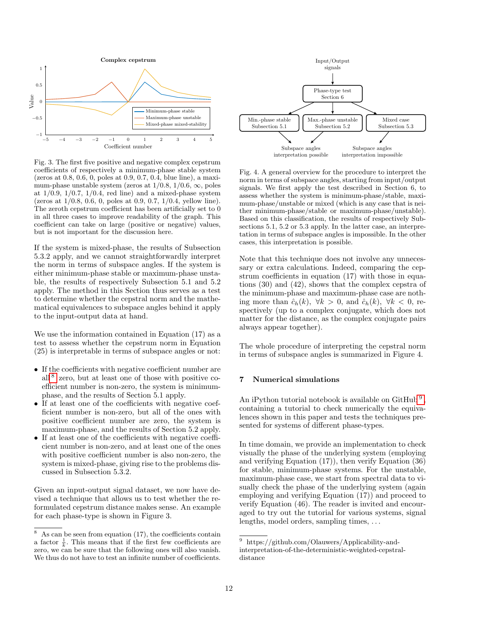

Fig. 3. The first five positive and negative complex cepstrum coefficients of respectively a minimum-phase stable system (zeros at 0.8, 0.6, 0, poles at 0.9, 0.7, 0.4, blue line), a maximum-phase unstable system (zeros at  $1/0.8$ ,  $1/0.6$ ,  $\infty$ , poles at  $1/0.9$ ,  $1/0.7$ ,  $1/0.4$ , red line) and a mixed-phase system (zeros at 1/0.8, 0.6, 0, poles at 0.9, 0.7, 1/0.4, yellow line). The zeroth cepstrum coefficient has been artificially set to 0 in all three cases to improve readability of the graph. This coefficient can take on large (positive or negative) values, but is not important for the discussion here.

If the system is mixed-phase, the results of Subsection 5.3.2 apply, and we cannot straightforwardly interpret the norm in terms of subspace angles. If the system is either minimum-phase stable or maximum-phase unstable, the results of respectively Subsection 5.1 and 5.2 apply. The method in this Section thus serves as a test to determine whether the cepstral norm and the mathematical equivalences to subspace angles behind it apply to the input-output data at hand.

We use the information contained in Equation (17) as a test to assess whether the cepstrum norm in Equation (25) is interpretable in terms of subspace angles or not:

- If the coefficients with negative coefficient number are all [8](#page-11-0) zero, but at least one of those with positive coefficient number is non-zero, the system is minimumphase, and the results of Section 5.1 apply.
- If at least one of the coefficients with negative coefficient number is non-zero, but all of the ones with positive coefficient number are zero, the system is maximum-phase, and the results of Section 5.2 apply.
- If at least one of the coefficients with negative coefficient number is non-zero, and at least one of the ones with positive coefficient number is also non-zero, the system is mixed-phase, giving rise to the problems discussed in Subsection 5.3.2.

Given an input-output signal dataset, we now have devised a technique that allows us to test whether the reformulated cepstrum distance makes sense. An example for each phase-type is shown in Figure 3.



Fig. 4. A general overview for the procedure to interpret the norm in terms of subspace angles, starting from input/output signals. We first apply the test described in Section 6, to assess whether the system is minimum-phase/stable, maximum-phase/unstable or mixed (which is any case that is neither minimum-phase/stable or maximum-phase/unstable). Based on this classification, the results of respectively Subsections 5.1, 5.2 or 5.3 apply. In the latter case, an interpretation in terms of subspace angles is impossible. In the other cases, this interpretation is possible.

Note that this technique does not involve any unnecessary or extra calculations. Indeed, comparing the cepstrum coefficients in equation (17) with those in equations (30) and (42), shows that the complex cepstra of the minimum-phase and maximum-phase case are nothing more than  $\hat{c}_h(k)$ ,  $\forall k > 0$ , and  $\hat{c}_h(k)$ ,  $\forall k < 0$ , respectively (up to a complex conjugate, which does not matter for the distance, as the complex conjugate pairs always appear together).

The whole procedure of interpreting the cepstral norm in terms of subspace angles is summarized in Figure 4.

# 7 Numerical simulations

An iPython tutorial notebook is available on GitHub<sup>[9](#page-11-1)</sup>, containing a tutorial to check numerically the equivalences shown in this paper and tests the techniques presented for systems of different phase-types.

In time domain, we provide an implementation to check visually the phase of the underlying system (employing and verifying Equation (17)), then verify Equation (36) for stable, minimum-phase systems. For the unstable, maximum-phase case, we start from spectral data to visually check the phase of the underlying system (again employing and verifying Equation (17)) and proceed to verify Equation (46). The reader is invited and encouraged to try out the tutorial for various systems, signal lengths, model orders, sampling times, . . .

<span id="page-11-0"></span> $8\text{ As can be seen from equation (17), the coefficients contain}$ a factor  $\frac{1}{k}$ . This means that if the first few coefficients are zero, we can be sure that the following ones will also vanish. We thus do not have to test an infinite number of coefficients.

<span id="page-11-1"></span><sup>9</sup> https://github.com/Olauwers/Applicability-andinterpretation-of-the-deterministic-weighted-cepstraldistance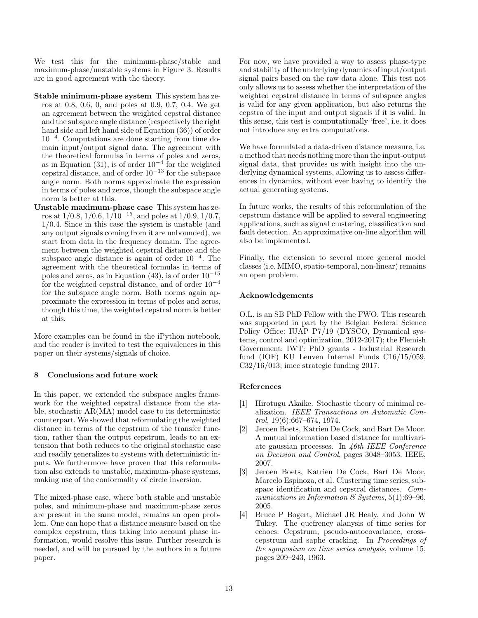We test this for the minimum-phase/stable and maximum-phase/unstable systems in Figure 3. Results are in good agreement with the theory.

- Stable minimum-phase system This system has zeros at 0.8, 0.6, 0, and poles at 0.9, 0.7, 0.4. We get an agreement between the weighted cepstral distance and the subspace angle distance (respectively the right hand side and left hand side of Equation (36)) of order 10−<sup>4</sup> . Computations are done starting from time domain input/output signal data. The agreement with the theoretical formulas in terms of poles and zeros, as in Equation (31), is of order  $10^{-4}$  for the weighted cepstral distance, and of order  $10^{-13}$  for the subspace angle norm. Both norms approximate the expression in terms of poles and zeros, though the subspace angle norm is better at this.
- Unstable maximum-phase case This system has zeros at  $1/0.8$ ,  $1/0.6$ ,  $1/10^{-15}$ , and poles at  $1/0.9$ ,  $1/0.7$ , 1/0.4. Since in this case the system is unstable (and any output signals coming from it are unbounded), we start from data in the frequency domain. The agreement between the weighted cepstral distance and the subspace angle distance is again of order  $10^{-4}$ . The agreement with the theoretical formulas in terms of poles and zeros, as in Equation (43), is of order  $10^{-15}$ for the weighted cepstral distance, and of order  $10^{-4}$ for the subspace angle norm. Both norms again approximate the expression in terms of poles and zeros, though this time, the weighted cepstral norm is better at this.

More examples can be found in the iPython notebook, and the reader is invited to test the equivalences in this paper on their systems/signals of choice.

# 8 Conclusions and future work

In this paper, we extended the subspace angles framework for the weighted cepstral distance from the stable, stochastic AR(MA) model case to its deterministic counterpart. We showed that reformulating the weighted distance in terms of the cepstrum of the transfer function, rather than the output cepstrum, leads to an extension that both reduces to the original stochastic case and readily generalizes to systems with deterministic inputs. We furthermore have proven that this reformulation also extends to unstable, maximum-phase systems, making use of the conformality of circle inversion.

The mixed-phase case, where both stable and unstable poles, and minimum-phase and maximum-phase zeros are present in the same model, remains an open problem. One can hope that a distance measure based on the complex cepstrum, thus taking into account phase information, would resolve this issue. Further research is needed, and will be pursued by the authors in a future paper.

For now, we have provided a way to assess phase-type and stability of the underlying dynamics of input/output signal pairs based on the raw data alone. This test not only allows us to assess whether the interpretation of the weighted cepstral distance in terms of subspace angles is valid for any given application, but also returns the cepstra of the input and output signals if it is valid. In this sense, this test is computationally 'free', i.e. it does not introduce any extra computations.

We have formulated a data-driven distance measure, i.e. a method that needs nothing more than the input-output signal data, that provides us with insight into the underlying dynamical systems, allowing us to assess differences in dynamics, without ever having to identify the actual generating systems.

In future works, the results of this reformulation of the cepstrum distance will be applied to several engineering applications, such as signal clustering, classification and fault detection. An approximative on-line algorithm will also be implemented.

Finally, the extension to several more general model classes (i.e. MIMO, spatio-temporal, non-linear) remains an open problem.

# Acknowledgements

O.L. is an SB PhD Fellow with the FWO. This research was supported in part by the Belgian Federal Science Policy Office: IUAP P7/19 (DYSCO, Dynamical systems, control and optimization, 2012-2017); the Flemish Government: IWT: PhD grants - Industrial Research fund (IOF) KU Leuven Internal Funds C16/15/059, C32/16/013; imec strategic funding 2017.

# References

- <span id="page-12-3"></span>[1] Hirotugu Akaike. Stochastic theory of minimal realization. IEEE Transactions on Automatic Control, 19(6):667–674, 1974.
- <span id="page-12-0"></span>[2] Jeroen Boets, Katrien De Cock, and Bart De Moor. A mutual information based distance for multivariate gaussian processes. In 46th IEEE Conference on Decision and Control, pages 3048–3053. IEEE, 2007.
- <span id="page-12-1"></span>[3] Jeroen Boets, Katrien De Cock, Bart De Moor, Marcelo Espinoza, et al. Clustering time series, subspace identification and cepstral distances. Communications in Information  $\mathcal C$  Systems, 5(1):69-96, 2005.
- <span id="page-12-2"></span>[4] Bruce P Bogert, Michael JR Healy, and John W Tukey. The quefrency alanysis of time series for echoes: Cepstrum, pseudo-autocovariance, crosscepstrum and saphe cracking. In Proceedings of the symposium on time series analysis, volume 15, pages 209–243, 1963.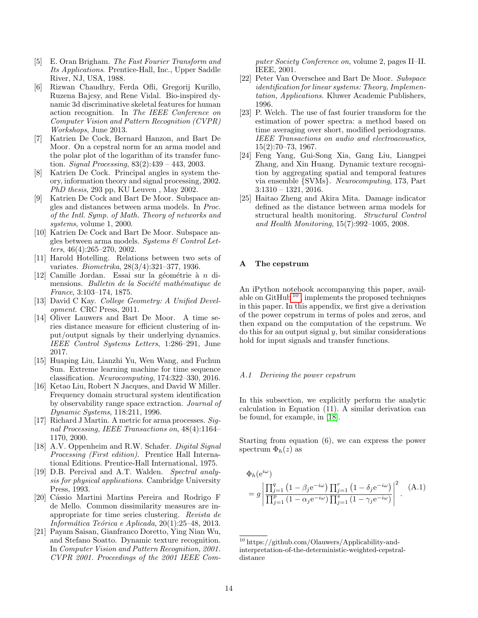- <span id="page-13-18"></span>[5] E. Oran Brigham. The Fast Fourier Transform and Its Applications. Prentice-Hall, Inc., Upper Saddle River, NJ, USA, 1988.
- <span id="page-13-3"></span>[6] Rizwan Chaudhry, Ferda Ofli, Gregorij Kurillo, Ruzena Bajcsy, and Rene Vidal. Bio-inspired dynamic 3d discriminative skeletal features for human action recognition. In The IEEE Conference on Computer Vision and Pattern Recognition (CVPR) Workshops, June 2013.
- <span id="page-13-15"></span>[7] Katrien De Cock, Bernard Hanzon, and Bart De Moor. On a cepstral norm for an arma model and the polar plot of the logarithm of its transfer function. Signal Processing, 83(2):439 – 443, 2003.
- <span id="page-13-0"></span>[8] Katrien De Cock. Principal angles in system theory, information theory and signal processing, 2002. PhD thesis, 293 pp, KU Leuven , May 2002.
- <span id="page-13-12"></span>[9] Katrien De Cock and Bart De Moor. Subspace angles and distances between arma models. In Proc. of the Intl. Symp. of Math. Theory of networks and systems, volume 1, 2000.
- <span id="page-13-1"></span>[10] Katrien De Cock and Bart De Moor. Subspace angles between arma models. Systems  $\mathcal C$  Control Letters, 46(4):265–270, 2002.
- <span id="page-13-11"></span>[11] Harold Hotelling. Relations between two sets of variates. Biometrika, 28(3/4):321–377, 1936.
- <span id="page-13-10"></span> $\left[ 12\right]$  Camille Jordan. Essai sur la géométrie à  $n$  dimensions. Bulletin de la Société mathématique de France, 3:103–174, 1875.
- <span id="page-13-16"></span>[13] David C Kay. College Geometry: A Unified Development. CRC Press, 2011.
- <span id="page-13-14"></span>[14] Oliver Lauwers and Bart De Moor. A time series distance measure for efficient clustering of input/output signals by their underlying dynamics. IEEE Control Systems Letters, 1:286–291, June 2017.
- <span id="page-13-4"></span>[15] Huaping Liu, Lianzhi Yu, Wen Wang, and Fuchun Sun. Extreme learning machine for time sequence classification. Neurocomputing, 174:322–330, 2016.
- <span id="page-13-21"></span>[16] Ketao Liu, Robert N Jacques, and David W Miller. Frequency domain structural system identification by observability range space extraction. Journal of Dynamic Systems, 118:211, 1996.
- <span id="page-13-2"></span>[17] Richard J Martin. A metric for arma processes. Signal Processing, IEEE Transactions on, 48(4):1164– 1170, 2000.
- <span id="page-13-9"></span>[18] A.V. Oppenheim and R.W. Schafer. *Digital Signal* Processing (First edition). Prentice Hall International Editions. Prentice-Hall International, 1975.
- <span id="page-13-20"></span>[19] D.B. Percival and A.T. Walden. Spectral analysis for physical applications. Cambridge University Press, 1993.
- <span id="page-13-8"></span>[20] Cássio Martini Martins Pereira and Rodrigo F de Mello. Common dissimilarity measures are inappropriate for time series clustering. Revista de Informática Teórica e Aplicada,  $20(1):25-48$ , 2013.
- <span id="page-13-5"></span>[21] Payam Saisan, Gianfranco Doretto, Ying Nian Wu, and Stefano Soatto. Dynamic texture recognition. In Computer Vision and Pattern Recognition, 2001. CVPR 2001. Proceedings of the 2001 IEEE Com-

puter Society Conference on, volume 2, pages II–II. IEEE, 2001.

- <span id="page-13-13"></span>[22] Peter Van Overschee and Bart De Moor. Subspace identification for linear systems: Theory, Implementation, Applications. Kluwer Academic Publishers, 1996.
- <span id="page-13-19"></span>[23] P. Welch. The use of fast fourier transform for the estimation of power spectra: a method based on time averaging over short, modified periodograms. IEEE Transactions on audio and electroacoustics, 15(2):70–73, 1967.
- <span id="page-13-6"></span>[24] Feng Yang, Gui-Song Xia, Gang Liu, Liangpei Zhang, and Xin Huang. Dynamic texture recognition by aggregating spatial and temporal features via ensemble {SVMs}. Neurocomputing, 173, Part 3:1310 – 1321, 2016.
- <span id="page-13-7"></span>[25] Haitao Zheng and Akira Mita. Damage indicator defined as the distance between arma models for structural health monitoring. Structural Control and Health Monitoring, 15(7):992–1005, 2008.

# A The cepstrum

An iPython notebook accompanying this paper, available on GitHub [10](#page-13-17) , implements the proposed techniques in this paper. In this appendix, we first give a derivation of the power cepstrum in terms of poles and zeros, and then expand on the computation of the cepstrum. We  $\phi$  do this for an output signal  $\psi$ , but similar considerations hold for input signals and transfer functions.

## A.1 Deriving the power cepstrum

In this subsection, we explicitly perform the analytic calculation in Equation (11). A similar derivation can be found, for example, in [\[18\]](#page-13-9).

Starting from equation (6), we can express the power spectrum  $\Phi_h(z)$  as

$$
\Phi_h(e^{i\omega})
$$
\n
$$
= g \left| \frac{\prod_{j=1}^q (1 - \beta_j e^{-i\omega}) \prod_{j=1}^r (1 - \delta_j e^{-i\omega})}{\prod_{j=1}^p (1 - \alpha_j e^{-i\omega}) \prod_{j=1}^s (1 - \gamma_j e^{-i\omega})} \right|^2.
$$
\n(A.1)

<span id="page-13-17"></span><sup>10</sup> https://github.com/Olauwers/Applicability-andinterpretation-of-the-deterministic-weighted-cepstraldistance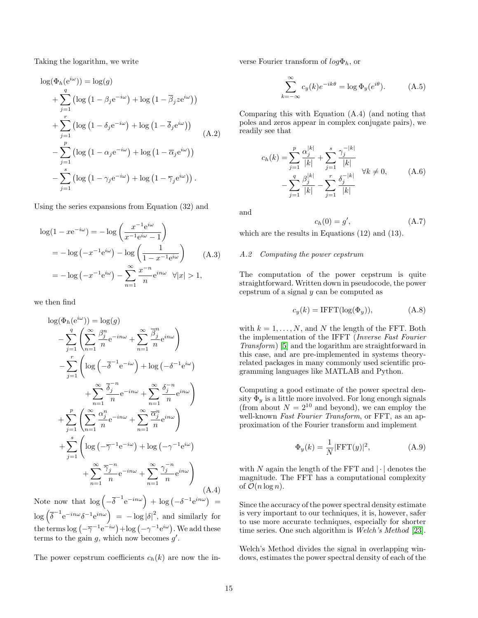Taking the logarithm, we write

$$
\log(\Phi_h(e^{i\omega})) = \log(g)
$$
  
+  $\sum_{j=1}^q (\log(1 - \beta_j e^{-i\omega}) + \log(1 - \overline{\beta}_j z e^{i\omega}))$   
+  $\sum_{j=1}^r (\log(1 - \delta_j e^{-i\omega}) + \log(1 - \overline{\delta}_j e^{i\omega}))$   
-  $\sum_{j=1}^p (\log(1 - \alpha_j e^{-i\omega}) + \log(1 - \overline{\alpha}_j e^{i\omega}))$   
-  $\sum_{j=1}^s (\log(1 - \gamma_j e^{-i\omega}) + \log(1 - \overline{\gamma}_j e^{i\omega})).$  (A.2)

Using the series expansions from Equation (32) and

$$
\log(1 - xe^{-i\omega}) = -\log\left(\frac{x^{-1}e^{i\omega}}{x^{-1}e^{i\omega} - 1}\right)
$$
  
=  $-\log(-x^{-1}e^{i\omega}) - \log\left(\frac{1}{1 - x^{-1}e^{i\omega}}\right)$  (A.3)  
=  $-\log(-x^{-1}e^{i\omega}) - \sum_{n=1}^{\infty} \frac{x^{-n}}{n}e^{in\omega} \quad \forall |x| > 1,$ 

we then find

$$
\log(\Phi_h(e^{i\omega})) = \log(g)
$$
  
\n
$$
-\sum_{j=1}^q \left(\sum_{n=1}^\infty \frac{\beta_j^n}{n} e^{-in\omega} + \sum_{n=1}^\infty \frac{\overline{\beta}_j^n}{n} e^{in\omega}\right)
$$
  
\n
$$
-\sum_{j=1}^r \left(\log\left(-\overline{\delta}^{-1} e^{-i\omega}\right) + \log\left(-\delta^{-1} e^{i\omega}\right) + \sum_{n=1}^\infty \frac{\overline{\delta}_j^{-n}}{n} e^{-in\omega} + \sum_{n=1}^\infty \frac{\delta_j^{-n}}{n} e^{in\omega}\right)
$$
  
\n
$$
+\sum_{j=1}^p \left(\sum_{n=1}^\infty \frac{\alpha_j^n}{n} e^{-in\omega} + \sum_{n=1}^\infty \frac{\overline{\alpha}_j^n}{n} e^{in\omega}\right)
$$
  
\n
$$
+\sum_{j=1}^s \left(\log\left(-\overline{\gamma}^{-1} e^{-i\omega}\right) + \log\left(-\gamma^{-1} e^{i\omega}\right) + \sum_{n=1}^\infty \frac{\overline{\gamma}_j^{-n}}{n} e^{-in\omega} + \sum_{n=1}^\infty \frac{\gamma_j^{-n}}{n} e^{in\omega}\right)
$$
  
\n
$$
+\sum_{n=1}^\infty \frac{\overline{\gamma}_j^{-n}}{n} e^{-in\omega} + \sum_{n=1}^\infty \frac{\gamma_j^{-n}}{n} e^{in\omega}
$$
 (A.4)

Note now that  $\log \left(-\overline{\delta}^{-1}e^{-in\omega}\right) + \log \left(-\delta^{-1}e^{in\omega}\right) =$  $\log \left( \overline{\delta}^{-1} e^{-in\omega} \delta^{-1} e^{in\omega} \right) = -\log |\delta|^2$ , and similarly for the terms  $\log(-\overline{\gamma}^{-1}e^{-i\omega}) + \log(-\gamma^{-1}e^{i\omega})$ . We add these terms to the gain  $g$ , which now becomes  $g'$ .

The power cepstrum coefficients  $c_h(k)$  are now the in-

verse Fourier transform of  $log \Phi_h$ , or

$$
\sum_{k=-\infty}^{\infty} c_y(k)e^{-ik\theta} = \log \Phi_y(e^{i\theta}).
$$
 (A.5)

Comparing this with Equation (A.4) (and noting that poles and zeros appear in complex conjugate pairs), we readily see that

$$
c_h(k) = \sum_{j=1}^p \frac{\alpha_j^{|k|}}{|k|} + \sum_{j=1}^s \frac{\gamma_j^{-|k|}}{|k|} - \sum_{j=1}^q \frac{\beta_j^{|k|}}{|k|} - \sum_{j=1}^r \frac{\delta_j^{-|k|}}{|k|} \quad \forall k \neq 0,
$$
 (A.6)

and

$$
c_h(0) = g',\tag{A.7}
$$

which are the results in Equations (12) and (13).

#### A.2 Computing the power cepstrum

The computation of the power cepstrum is quite straightforward. Written down in pseudocode, the power cepstrum of a signal y can be computed as

$$
c_y(k) = \text{IFFT}(\log(\Phi_y)), \tag{A.8}
$$

with  $k = 1, \ldots, N$ , and N the length of the FFT. Both the implementation of the IFFT (Inverse Fast Fourier Transform) [\[5\]](#page-13-18) and the logarithm are straightforward in this case, and are pre-implemented in systems theoryrelated packages in many commonly used scientific programming languages like MATLAB and Python.

Computing a good estimate of the power spectral density  $\Phi_y$  is a little more involved. For long enough signals (from about  $N = 2^{10}$  and beyond), we can employ the well-known Fast Fourier Transform, or FFT, as an approximation of the Fourier transform and implement

$$
\Phi_y(k) = \frac{1}{N} |\text{FFT}(y)|^2, \tag{A.9}
$$

with N again the length of the FFT and  $|\cdot|$  denotes the magnitude. The FFT has a computational complexity of  $\mathcal{O}(n \log n)$ .

Since the accuracy of the power spectral density estimate is very important to our techniques, it is, however, safer to use more accurate techniques, especially for shorter time series. One such algorithm is *Welch's Method* [\[23\]](#page-13-19).

Welch's Method divides the signal in overlapping windows, estimates the power spectral density of each of the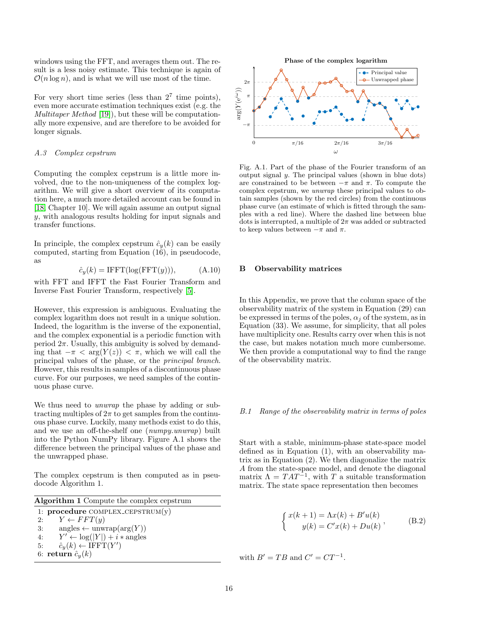windows using the FFT, and averages them out. The result is a less noisy estimate. This technique is again of  $\mathcal{O}(n \log n)$ , and is what we will use most of the time.

For very short time series (less than  $2^7$  time points), even more accurate estimation techniques exist (e.g. the Multitaper Method [\[19\]](#page-13-20)), but these will be computationally more expensive, and are therefore to be avoided for longer signals.

# A.3 Complex cepstrum

Computing the complex cepstrum is a little more involved, due to the non-uniqueness of the complex logarithm. We will give a short overview of its computation here, a much more detailed account can be found in [\[18,](#page-13-9) Chapter 10]. We will again assume an output signal y, with analogous results holding for input signals and transfer functions.

In principle, the complex cepstrum  $\hat{c}_y(k)$  can be easily computed, starting from Equation (16), in pseudocode, as

$$
\hat{c}_y(k) = \text{IFFT}(\log(\text{FFT}(y))), \tag{A.10}
$$

with FFT and IFFT the Fast Fourier Transform and Inverse Fast Fourier Transform, respectively [\[5\]](#page-13-18).

However, this expression is ambiguous. Evaluating the complex logarithm does not result in a unique solution. Indeed, the logarithm is the inverse of the exponential, and the complex exponential is a periodic function with period  $2\pi$ . Usually, this ambiguity is solved by demanding that  $-\pi < \arg(Y(z)) < \pi$ , which we will call the principal values of the phase, or the principal branch. However, this results in samples of a discontinuous phase curve. For our purposes, we need samples of the continuous phase curve.

We thus need to *unwrap* the phase by adding or subtracting multiples of  $2\pi$  to get samples from the continuous phase curve. Luckily, many methods exist to do this, and we use an off-the-shelf one (numpy.unwrap) built into the Python NumPy library. Figure A.1 shows the difference between the principal values of the phase and the unwrapped phase.

The complex cepstrum is then computed as in pseudocode Algorithm 1.

| <b>Algorithm 1</b> Compute the complex cepstrum        |  |  |  |
|--------------------------------------------------------|--|--|--|
| 1: $procedure COMPLEX_CEPSTRUM(y)$                     |  |  |  |
| 2: $Y \leftarrow FFT(y)$                               |  |  |  |
| $angles \leftarrow \text{unwrap}(\text{arg}(Y))$<br>3: |  |  |  |
| 4: $Y' \leftarrow \log( Y ) + i * \text{angles}$       |  |  |  |
| $\hat{c}_y(k) \leftarrow \text{IFFT}(Y')$<br>5:        |  |  |  |
| 6: return $\hat{c}_y(k)$                               |  |  |  |



Fig. A.1. Part of the phase of the Fourier transform of an output signal y. The principal values (shown in blue dots) are constrained to be between  $-\pi$  and  $\pi$ . To compute the complex cepstrum, we unwrap these principal values to obtain samples (shown by the red circles) from the continuous phase curve (an estimate of which is fitted through the samples with a red line). Where the dashed line between blue dots is interrupted, a multiple of  $2\pi$  was added or subtracted to keep values between  $-\pi$  and  $\pi$ .

#### B Observability matrices

In this Appendix, we prove that the column space of the observability matrix of the system in Equation (29) can be expressed in terms of the poles,  $\alpha_i$  of the system, as in Equation (33). We assume, for simplicity, that all poles have multiplicity one. Results carry over when this is not the case, but makes notation much more cumbersome. We then provide a computational way to find the range of the observability matrix.

#### B.1 Range of the observability matrix in terms of poles

Start with a stable, minimum-phase state-space model defined as in Equation (1), with an observability matrix as in Equation (2). We then diagonalize the matrix A from the state-space model, and denote the diagonal matrix  $\Lambda = TAT^{-1}$ , with T a suitable transformation matrix. The state space representation then becomes

$$
\begin{cases} x(k+1) = \Lambda x(k) + B'u(k) \\ y(k) = C'x(k) + Du(k) \end{cases}
$$
, (B.2)

with  $B' = TB$  and  $C' = CT^{-1}$ .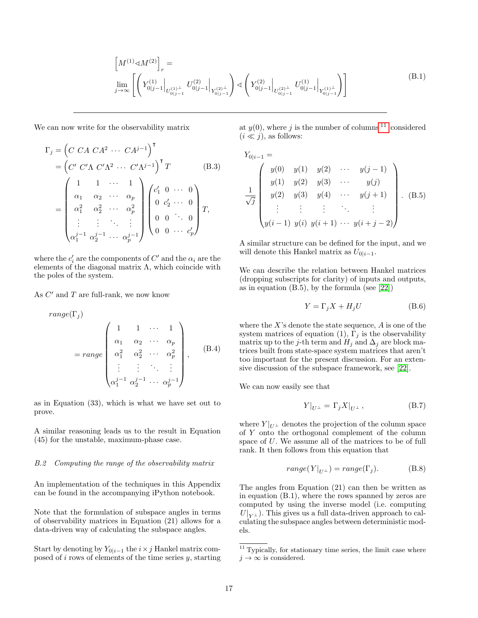$$
\left[M^{(1)} \triangleleft M^{(2)}\right]_r = \lim_{j \to \infty} \left[ \left(Y^{(1)}_{0|j-1} \bigg|_{U^{(1)}_{0|j-1}} U^{(2)}_{0|j-1} \bigg|_{Y^{(2)}_{0|j-1}} \right) \triangleleft \left(Y^{(2)}_{0|j-1} \bigg|_{U^{(2)}_{0|j-1}} U^{(1)}_{0|j-1} \bigg|_{Y^{(1)}_{0|j-1}} \right) \right]
$$
\n(B.1)

We can now write for the observability matrix

$$
\Gamma_j = \left( C \ C A \ C A^2 \ \cdots \ C A^{j-1} \right)^{\mathsf{T}} \n= \left( C' \ C' \Lambda \ C' \Lambda^2 \ \cdots \ C' \Lambda^{j-1} \right)^{\mathsf{T}} T \qquad (B.3) \n= \begin{pmatrix}\n1 & 1 & \cdots & 1 \\
\alpha_1 & \alpha_2 & \cdots & \alpha_p \\
\alpha_1^2 & \alpha_2^2 & \cdots & \alpha_p^2 \\
\vdots & \vdots & \ddots & \vdots \\
\alpha_1^{j-1} & \alpha_2^{j-1} & \cdots & \alpha_p^{j-1}\n\end{pmatrix} \begin{pmatrix}\nc'_1 & 0 & \cdots & 0 \\
0 & c'_2 & \cdots & 0 \\
0 & 0 & \cdots & 0 \\
0 & 0 & \cdots & c'_p\n\end{pmatrix} T,
$$

where the  $c_i'$  are the components of  $C'$  and the  $\alpha_i$  are the elements of the diagonal matrix  $\Lambda$ , which coincide with the poles of the system.

As  $C'$  and  $T$  are full-rank, we now know

$$
range(\Gamma_j)
$$
\n
$$
= range \begin{pmatrix}\n1 & 1 & \cdots & 1 \\
\alpha_1 & \alpha_2 & \cdots & \alpha_p \\
\alpha_1^2 & \alpha_2^2 & \cdots & \alpha_p^2 \\
\vdots & \vdots & \ddots & \vdots \\
\alpha_1^{j-1} & \alpha_2^{j-1} & \cdots & \alpha_p^{j-1}\n\end{pmatrix}, (B.4)
$$

as in Equation (33), which is what we have set out to prove.

A similar reasoning leads us to the result in Equation (45) for the unstable, maximum-phase case.

# B.2 Computing the range of the observability matrix

An implementation of the techniques in this Appendix can be found in the accompanying iPython notebook.

Note that the formulation of subspace angles in terms of observability matrices in Equation (21) allows for a data-driven way of calculating the subspace angles.

Start by denoting by  $Y_{0|i-1}$  the  $i \times j$  Hankel matrix composed of  $i$  rows of elements of the time series  $y$ , starting at  $y(0)$ , where j is the number of columns <sup>[11](#page-16-0)</sup> considered  $(i \ll i)$ , as follows:

$$
Y_{0|i-1} = \begin{pmatrix} y(0) & y(1) & y(2) & \cdots & y(j-1) \\ y(1) & y(2) & y(3) & \cdots & y(j) \\ y(2) & y(3) & y(4) & \cdots & y(j+1) \\ \vdots & \vdots & \vdots & \ddots & \vdots \\ y(i-1) & y(i) & y(i+1) & \cdots & y(i+j-2) \end{pmatrix} . (B.5)
$$

A similar structure can be defined for the input, and we will denote this Hankel matrix as  $U_{0|i-1}$ .

We can describe the relation between Hankel matrices (dropping subscripts for clarity) of inputs and outputs, as in equation  $(B.5)$ , by the formula (see [\[22\]](#page-13-13))

$$
Y = \Gamma_j X + H_j U \tag{B.6}
$$

where the  $X$ 's denote the state sequence,  $A$  is one of the system matrices of equation (1),  $\Gamma_j$  is the observability matrix up to the j-th term and  $H_j$  and  $\Delta_j$  are block matrices built from state-space system matrices that aren't too important for the present discussion. For an extensive discussion of the subspace framework, see [\[22\]](#page-13-13).

We can now easily see that

$$
Y|_{U^{\perp}} = \Gamma_j X|_{U^{\perp}}, \tag{B.7}
$$

where  $Y|_{U^{\perp}}$  denotes the projection of the column space of Y onto the orthogonal complement of the column space of U. We assume all of the matrices to be of full rank. It then follows from this equation that

$$
range(Y|_{U^{\perp}}) = range(\Gamma_j). \tag{B.8}
$$

The angles from Equation (21) can then be written as in equation (B.1), where the rows spanned by zeros are computed by using the inverse model (i.e. computing  $U|_{Y^{\perp}}$ ). This gives us a full data-driven approach to calculating the subspace angles between deterministic models.

<span id="page-16-0"></span> $11$  Typically, for stationary time series, the limit case where  $j \to \infty$  is considered.